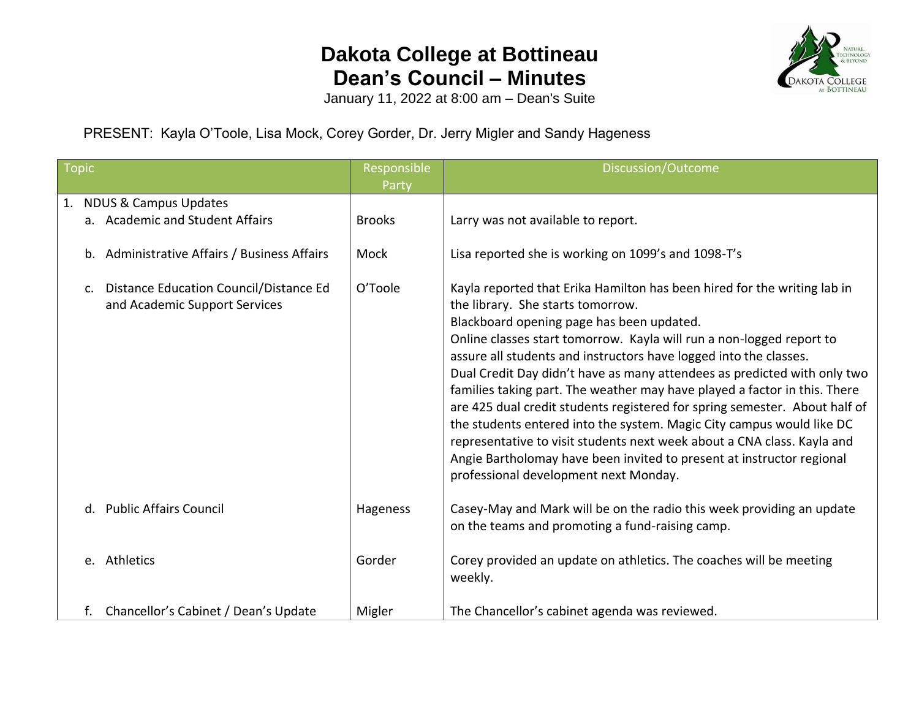## **Dakota College at Bottineau Dean's Council – Minutes**



January 11, 2022 at 8:00 am – Dean's Suite

PRESENT: Kayla O'Toole, Lisa Mock, Corey Gorder, Dr. Jerry Migler and Sandy Hageness

| <b>Topic</b> |                                                                            | Responsible<br>Party | Discussion/Outcome                                                                                                                                                                                                                                                                                                                                                                                                                                                                                                                                                                                                                                                                                                                                                                                                   |
|--------------|----------------------------------------------------------------------------|----------------------|----------------------------------------------------------------------------------------------------------------------------------------------------------------------------------------------------------------------------------------------------------------------------------------------------------------------------------------------------------------------------------------------------------------------------------------------------------------------------------------------------------------------------------------------------------------------------------------------------------------------------------------------------------------------------------------------------------------------------------------------------------------------------------------------------------------------|
|              | 1. NDUS & Campus Updates<br>a. Academic and Student Affairs                | <b>Brooks</b>        | Larry was not available to report.                                                                                                                                                                                                                                                                                                                                                                                                                                                                                                                                                                                                                                                                                                                                                                                   |
|              | b. Administrative Affairs / Business Affairs                               | Mock                 | Lisa reported she is working on 1099's and 1098-T's                                                                                                                                                                                                                                                                                                                                                                                                                                                                                                                                                                                                                                                                                                                                                                  |
|              | c. Distance Education Council/Distance Ed<br>and Academic Support Services | O'Toole              | Kayla reported that Erika Hamilton has been hired for the writing lab in<br>the library. She starts tomorrow.<br>Blackboard opening page has been updated.<br>Online classes start tomorrow. Kayla will run a non-logged report to<br>assure all students and instructors have logged into the classes.<br>Dual Credit Day didn't have as many attendees as predicted with only two<br>families taking part. The weather may have played a factor in this. There<br>are 425 dual credit students registered for spring semester. About half of<br>the students entered into the system. Magic City campus would like DC<br>representative to visit students next week about a CNA class. Kayla and<br>Angie Bartholomay have been invited to present at instructor regional<br>professional development next Monday. |
|              | <b>Public Affairs Council</b><br>$d_{\cdot}$                               | Hageness             | Casey-May and Mark will be on the radio this week providing an update<br>on the teams and promoting a fund-raising camp.                                                                                                                                                                                                                                                                                                                                                                                                                                                                                                                                                                                                                                                                                             |
|              | e. Athletics                                                               | Gorder               | Corey provided an update on athletics. The coaches will be meeting<br>weekly.                                                                                                                                                                                                                                                                                                                                                                                                                                                                                                                                                                                                                                                                                                                                        |
|              | f. Chancellor's Cabinet / Dean's Update                                    | Migler               | The Chancellor's cabinet agenda was reviewed.                                                                                                                                                                                                                                                                                                                                                                                                                                                                                                                                                                                                                                                                                                                                                                        |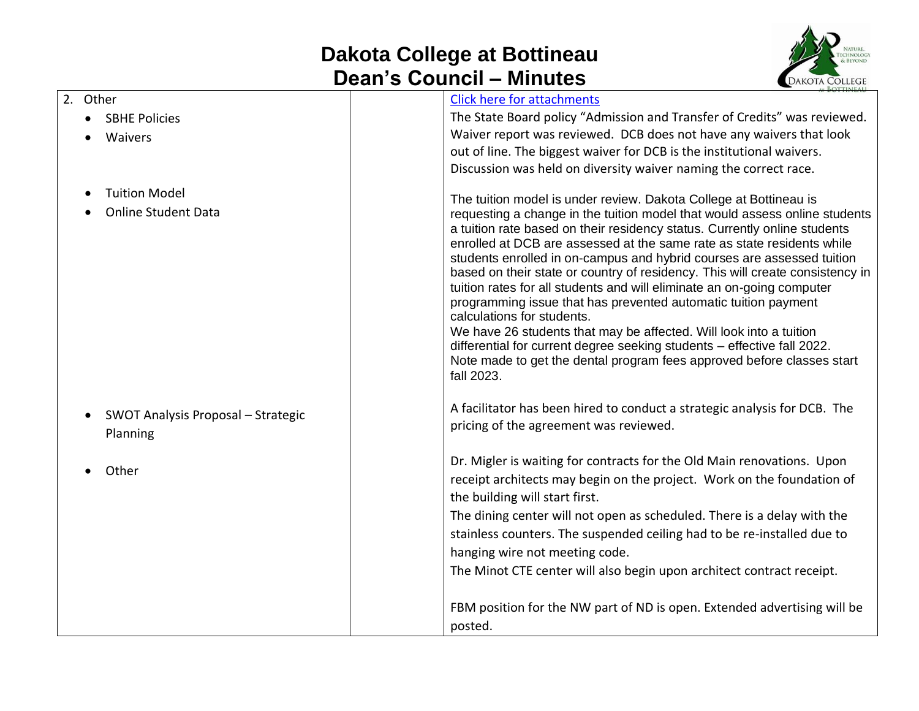## **Dakota College at Bottineau Dean's Council – Minutes**



| 2. Other |                                    | <b>Click here for attachments</b>                                                                                                                       |
|----------|------------------------------------|---------------------------------------------------------------------------------------------------------------------------------------------------------|
|          | <b>SBHE Policies</b>               | The State Board policy "Admission and Transfer of Credits" was reviewed.                                                                                |
|          | Waivers                            | Waiver report was reviewed. DCB does not have any waivers that look                                                                                     |
|          |                                    | out of line. The biggest waiver for DCB is the institutional waivers.                                                                                   |
|          |                                    | Discussion was held on diversity waiver naming the correct race.                                                                                        |
|          | <b>Tuition Model</b>               |                                                                                                                                                         |
|          | <b>Online Student Data</b>         | The tuition model is under review. Dakota College at Bottineau is<br>requesting a change in the tuition model that would assess online students         |
|          |                                    | a tuition rate based on their residency status. Currently online students                                                                               |
|          |                                    | enrolled at DCB are assessed at the same rate as state residents while                                                                                  |
|          |                                    | students enrolled in on-campus and hybrid courses are assessed tuition                                                                                  |
|          |                                    | based on their state or country of residency. This will create consistency in<br>tuition rates for all students and will eliminate an on-going computer |
|          |                                    | programming issue that has prevented automatic tuition payment                                                                                          |
|          |                                    | calculations for students.                                                                                                                              |
|          |                                    | We have 26 students that may be affected. Will look into a tuition                                                                                      |
|          |                                    | differential for current degree seeking students - effective fall 2022.                                                                                 |
|          |                                    | Note made to get the dental program fees approved before classes start<br>fall 2023.                                                                    |
|          |                                    |                                                                                                                                                         |
|          |                                    | A facilitator has been hired to conduct a strategic analysis for DCB. The                                                                               |
|          | SWOT Analysis Proposal - Strategic | pricing of the agreement was reviewed.                                                                                                                  |
|          | Planning                           |                                                                                                                                                         |
|          |                                    | Dr. Migler is waiting for contracts for the Old Main renovations. Upon                                                                                  |
|          | Other                              | receipt architects may begin on the project. Work on the foundation of                                                                                  |
|          |                                    | the building will start first.                                                                                                                          |
|          |                                    | The dining center will not open as scheduled. There is a delay with the                                                                                 |
|          |                                    | stainless counters. The suspended ceiling had to be re-installed due to                                                                                 |
|          |                                    | hanging wire not meeting code.                                                                                                                          |
|          |                                    | The Minot CTE center will also begin upon architect contract receipt.                                                                                   |
|          |                                    |                                                                                                                                                         |
|          |                                    | FBM position for the NW part of ND is open. Extended advertising will be                                                                                |
|          |                                    | posted.                                                                                                                                                 |